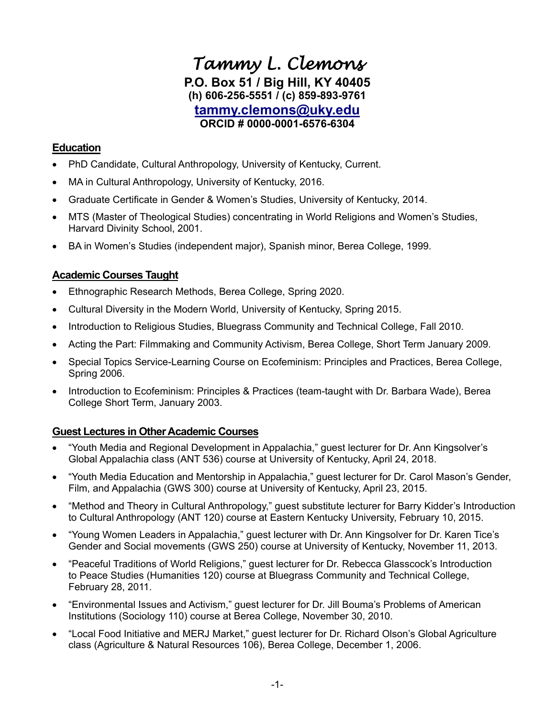# *Tammy L. Clemons*  **P.O. Box 51 / Big Hill, KY 40405 (h) 606-256-5551 / (c) 859-893-9761 [tammy.clemons@uky.edu](mailto:tammy.clemons@uky.edu) ORCID # 0000-0001-6576-6304**

# **Education**

- PhD Candidate, Cultural Anthropology, University of Kentucky, Current.
- MA in Cultural Anthropology, University of Kentucky, 2016.
- Graduate Certificate in Gender & Women's Studies, University of Kentucky, 2014.
- MTS (Master of Theological Studies) concentrating in World Religions and Women's Studies, Harvard Divinity School, 2001.
- BA in Women's Studies (independent major), Spanish minor, Berea College, 1999.

# **Academic Courses Taught**

- Ethnographic Research Methods, Berea College, Spring 2020.
- Cultural Diversity in the Modern World, University of Kentucky, Spring 2015.
- Introduction to Religious Studies, Bluegrass Community and Technical College, Fall 2010.
- Acting the Part: Filmmaking and Community Activism, Berea College, Short Term January 2009.
- Special Topics Service-Learning Course on Ecofeminism: Principles and Practices, Berea College, Spring 2006.
- Introduction to Ecofeminism: Principles & Practices (team-taught with Dr. Barbara Wade), Berea College Short Term, January 2003.

# **Guest Lectures in Other Academic Courses**

- "Youth Media and Regional Development in Appalachia," guest lecturer for Dr. Ann Kingsolver's Global Appalachia class (ANT 536) course at University of Kentucky, April 24, 2018.
- "Youth Media Education and Mentorship in Appalachia," guest lecturer for Dr. Carol Mason's Gender, Film, and Appalachia (GWS 300) course at University of Kentucky, April 23, 2015.
- "Method and Theory in Cultural Anthropology," guest substitute lecturer for Barry Kidder's Introduction to Cultural Anthropology (ANT 120) course at Eastern Kentucky University, February 10, 2015.
- "Young Women Leaders in Appalachia," guest lecturer with Dr. Ann Kingsolver for Dr. Karen Tice's Gender and Social movements (GWS 250) course at University of Kentucky, November 11, 2013.
- "Peaceful Traditions of World Religions," guest lecturer for Dr. Rebecca Glasscock's Introduction to Peace Studies (Humanities 120) course at Bluegrass Community and Technical College, February 28, 2011.
- "Environmental Issues and Activism," guest lecturer for Dr. Jill Bouma's Problems of American Institutions (Sociology 110) course at Berea College, November 30, 2010.
- "Local Food Initiative and MERJ Market," guest lecturer for Dr. Richard Olson's Global Agriculture class (Agriculture & Natural Resources 106), Berea College, December 1, 2006.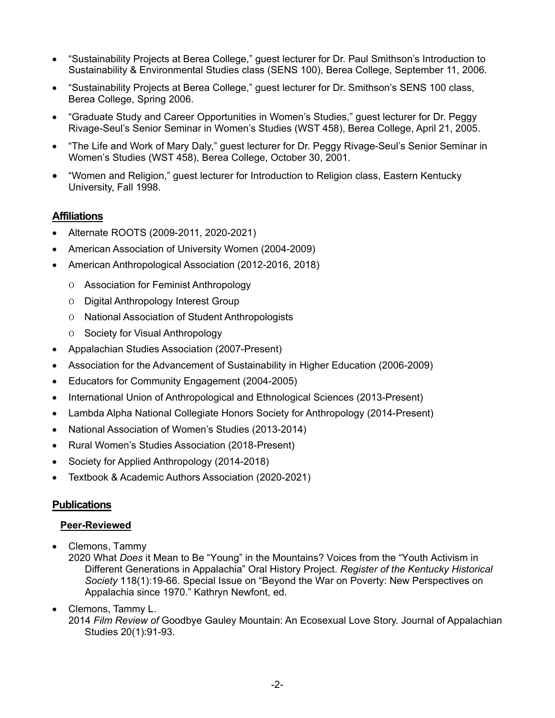- "Sustainability Projects at Berea College," guest lecturer for Dr. Paul Smithson's Introduction to Sustainability & Environmental Studies class (SENS 100), Berea College, September 11, 2006.
- "Sustainability Projects at Berea College," guest lecturer for Dr. Smithson's SENS 100 class, Berea College, Spring 2006.
- "Graduate Study and Career Opportunities in Women's Studies," guest lecturer for Dr. Peggy Rivage-Seul's Senior Seminar in Women's Studies (WST 458), Berea College, April 21, 2005.
- "The Life and Work of Mary Daly," guest lecturer for Dr. Peggy Rivage-Seul's Senior Seminar in Women's Studies (WST 458), Berea College, October 30, 2001.
- "Women and Religion," guest lecturer for Introduction to Religion class, Eastern Kentucky University, Fall 1998.

# **Affiliations**

- Alternate ROOTS (2009-2011, 2020-2021)
- American Association of University Women (2004-2009)
- American Anthropological Association (2012-2016, 2018)
	- o Association for Feminist Anthropology
	- o Digital Anthropology Interest Group
	- o National Association of Student Anthropologists
	- o Society for Visual Anthropology
- Appalachian Studies Association (2007-Present)
- Association for the Advancement of Sustainability in Higher Education (2006-2009)
- Educators for Community Engagement (2004-2005)
- International Union of Anthropological and Ethnological Sciences (2013-Present)
- Lambda Alpha National Collegiate Honors Society for Anthropology (2014-Present)
- National Association of Women's Studies (2013-2014)
- Rural Women's Studies Association (2018-Present)
- Society for Applied Anthropology (2014-2018)
- Textbook & Academic Authors Association (2020-2021)

# **Publications**

### **Peer-Reviewed**

• Clemons, Tammy

2020 What *Does* it Mean to Be "Young" in the Mountains? Voices from the "Youth Activism in Different Generations in Appalachia" Oral History Project. *Register of the Kentucky Historical Society* 118(1):19-66. Special Issue on "Beyond the War on Poverty: New Perspectives on Appalachia since 1970." Kathryn Newfont, ed.

• Clemons, Tammy L. 2014 *Film Review of* Goodbye Gauley Mountain: An Ecosexual Love Story. Journal of Appalachian Studies 20(1):91-93.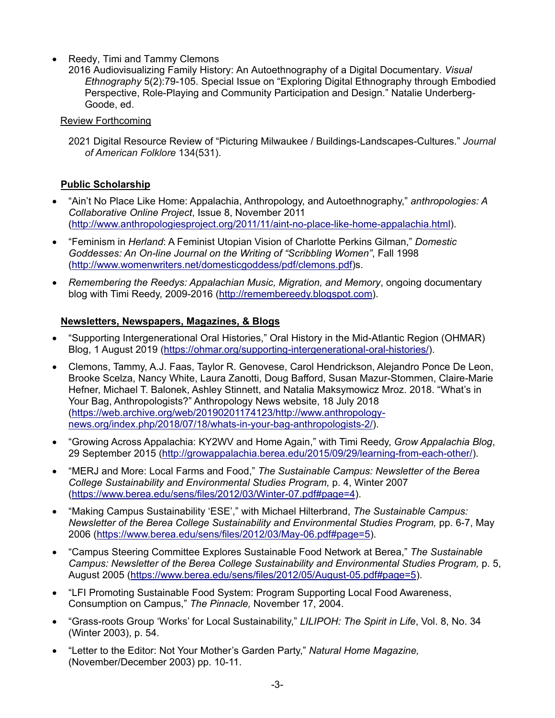- Reedy, Timi and Tammy Clemons
	- 2016 Audiovisualizing Family History: An Autoethnography of a Digital Documentary. *Visual Ethnography* 5(2):79-105. Special Issue on "Exploring Digital Ethnography through Embodied Perspective, Role-Playing and Community Participation and Design." Natalie Underberg-Goode, ed.

### Review Forthcoming

2021 Digital Resource Review of "Picturing Milwaukee / Buildings-Landscapes-Cultures." *Journal of American Folklore* 134(531).

# **Public Scholarship**

- "Ain't No Place Like Home: Appalachia, Anthropology, and Autoethnography," *anthropologies: A Collaborative Online Project*, Issue 8, November 2011 [\(http://www.anthropologiesproject.org/2011/11/aint-no-place-like-home-appalachia.html\)](http://www.anthropologiesproject.org/2011/11/aint-no-place-like-home-appalachia.html).
- "Feminism in *Herland*: A Feminist Utopian Vision of Charlotte Perkins Gilman," *Domestic Goddesses: An On-line Journal on the Writing of "Scribbling Women"*, Fall 1998 [\(http://www.womenwriters.net/domesticgoddess/pdf/clemons.pdf\)](http://www.womenwriters.net/domesticgoddess/pdf/clemons.pdf)s.
- *Remembering the Reedys: Appalachian Music, Migration, and Memory*, ongoing documentary blog with Timi Reedy, 2009-2016 [\(http://remembereedy.blogspot.com\)](http://remembereedy.blogspot.com/).

### **Newsletters, Newspapers, Magazines, & Blogs**

- "Supporting Intergenerational Oral Histories," Oral History in the Mid-Atlantic Region (OHMAR) Blog, 1 August 2019 [\(https://ohmar.org/supporting-intergenerational-oral-histories/\)](https://ohmar.org/supporting-intergenerational-oral-histories/).
- Clemons, Tammy, A.J. Faas, Taylor R. Genovese, Carol Hendrickson, Alejandro Ponce De Leon, Brooke Scelza, Nancy White, Laura Zanotti, Doug Bafford, Susan Mazur-Stommen, Claire-Marie Hefner, Michael T. Balonek, Ashley Stinnett, and Natalia Maksymowicz Mroz. 2018. "What's in Your Bag, Anthropologists?" Anthropology News website, 18 July 2018 [\(https://web.archive.org/web/20190201174123/http://www.anthropology](https://web.archive.org/web/20190201174123/http:/www.anthropology-news.org/index.php/2018/07/18/whats-in-your-bag-anthropologists-2/)[news.org/index.php/2018/07/18/whats-in-your-bag-anthropologists-2/\)](https://web.archive.org/web/20190201174123/http:/www.anthropology-news.org/index.php/2018/07/18/whats-in-your-bag-anthropologists-2/).
- "Growing Across Appalachia: KY2WV and Home Again," with Timi Reedy, *Grow Appalachia Blog*, 29 September 2015 [\(http://growappalachia.berea.edu/2015/09/29/learning-from-each-other/\)](http://growappalachia.berea.edu/2015/09/29/learning-from-each-other/).
- "MERJ and More: Local Farms and Food," *The Sustainable Campus: Newsletter of the Berea College Sustainability and Environmental Studies Program,* p. 4, Winter 2007 [\(https://www.berea.edu/sens/files/2012/03/Winter-07.pdf#page=4\)](https://www.berea.edu/sens/files/2012/03/Winter-07.pdf#page=4).
- "Making Campus Sustainability 'ESE'," with Michael Hilterbrand, *The Sustainable Campus: Newsletter of the Berea College Sustainability and Environmental Studies Program,* pp. 6-7, May 2006 [\(https://www.berea.edu/sens/files/2012/03/May-06.pdf#page=5\)](https://www.berea.edu/sens/files/2012/03/May-06.pdf#page=5).
- "Campus Steering Committee Explores Sustainable Food Network at Berea," *The Sustainable Campus: Newsletter of the Berea College Sustainability and Environmental Studies Program,* p. 5, August 2005 [\(https://www.berea.edu/sens/files/2012/05/August-05.pdf#page=5\)](https://www.berea.edu/sens/files/2012/05/August-05.pdf#page=5).
- "LFI Promoting Sustainable Food System: Program Supporting Local Food Awareness, Consumption on Campus," *The Pinnacle,* November 17, 2004.
- "Grass-roots Group 'Works' for Local Sustainability," *LILIPOH: The Spirit in Life*, Vol. 8, No. 34 (Winter 2003), p. 54.
- "Letter to the Editor: Not Your Mother's Garden Party," *Natural Home Magazine,* (November/December 2003) pp. 10-11.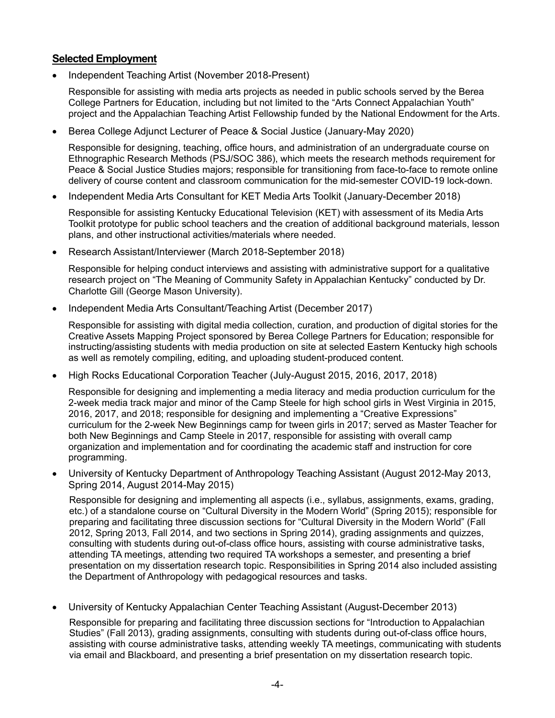### **Selected Employment**

• Independent Teaching Artist (November 2018-Present)

Responsible for assisting with media arts projects as needed in public schools served by the Berea College Partners for Education, including but not limited to the "Arts Connect Appalachian Youth" project and the Appalachian Teaching Artist Fellowship funded by the National Endowment for the Arts.

• Berea College Adjunct Lecturer of Peace & Social Justice (January-May 2020)

Responsible for designing, teaching, office hours, and administration of an undergraduate course on Ethnographic Research Methods (PSJ/SOC 386), which meets the research methods requirement for Peace & Social Justice Studies majors; responsible for transitioning from face-to-face to remote online delivery of course content and classroom communication for the mid-semester COVID-19 lock-down.

• Independent Media Arts Consultant for KET Media Arts Toolkit (January-December 2018)

Responsible for assisting Kentucky Educational Television (KET) with assessment of its Media Arts Toolkit prototype for public school teachers and the creation of additional background materials, lesson plans, and other instructional activities/materials where needed.

• Research Assistant/Interviewer (March 2018-September 2018)

Responsible for helping conduct interviews and assisting with administrative support for a qualitative research project on "The Meaning of Community Safety in Appalachian Kentucky" conducted by Dr. Charlotte Gill (George Mason University).

• Independent Media Arts Consultant/Teaching Artist (December 2017)

Responsible for assisting with digital media collection, curation, and production of digital stories for the Creative Assets Mapping Project sponsored by Berea College Partners for Education; responsible for instructing/assisting students with media production on site at selected Eastern Kentucky high schools as well as remotely compiling, editing, and uploading student-produced content.

• High Rocks Educational Corporation Teacher (July-August 2015, 2016, 2017, 2018)

Responsible for designing and implementing a media literacy and media production curriculum for the 2-week media track major and minor of the Camp Steele for high school girls in West Virginia in 2015, 2016, 2017, and 2018; responsible for designing and implementing a "Creative Expressions" curriculum for the 2-week New Beginnings camp for tween girls in 2017; served as Master Teacher for both New Beginnings and Camp Steele in 2017, responsible for assisting with overall camp organization and implementation and for coordinating the academic staff and instruction for core programming.

• University of Kentucky Department of Anthropology Teaching Assistant (August 2012-May 2013, Spring 2014, August 2014-May 2015)

Responsible for designing and implementing all aspects (i.e., syllabus, assignments, exams, grading, etc.) of a standalone course on "Cultural Diversity in the Modern World" (Spring 2015); responsible for preparing and facilitating three discussion sections for "Cultural Diversity in the Modern World" (Fall 2012, Spring 2013, Fall 2014, and two sections in Spring 2014), grading assignments and quizzes, consulting with students during out-of-class office hours, assisting with course administrative tasks, attending TA meetings, attending two required TA workshops a semester, and presenting a brief presentation on my dissertation research topic. Responsibilities in Spring 2014 also included assisting the Department of Anthropology with pedagogical resources and tasks.

• University of Kentucky Appalachian Center Teaching Assistant (August-December 2013)

Responsible for preparing and facilitating three discussion sections for "Introduction to Appalachian Studies" (Fall 2013), grading assignments, consulting with students during out-of-class office hours, assisting with course administrative tasks, attending weekly TA meetings, communicating with students via email and Blackboard, and presenting a brief presentation on my dissertation research topic.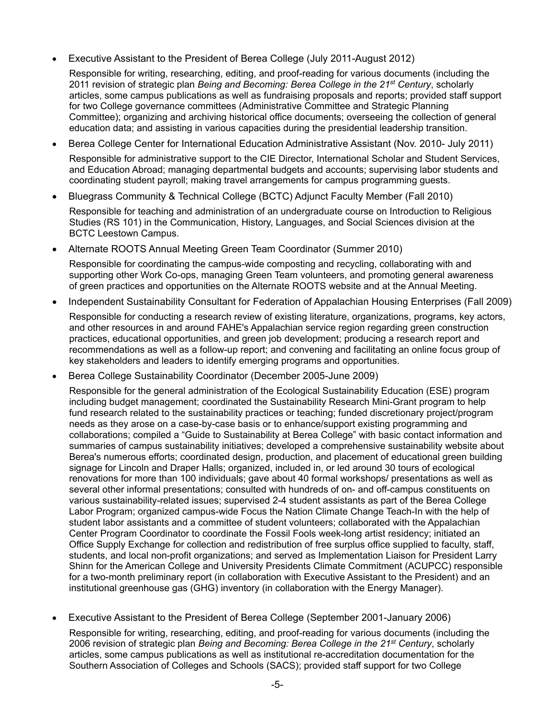• Executive Assistant to the President of Berea College (July 2011-August 2012)

Responsible for writing, researching, editing, and proof-reading for various documents (including the 2011 revision of strategic plan *Being and Becoming: Berea College in the 21st Century*, scholarly articles, some campus publications as well as fundraising proposals and reports; provided staff support for two College governance committees (Administrative Committee and Strategic Planning Committee); organizing and archiving historical office documents; overseeing the collection of general education data; and assisting in various capacities during the presidential leadership transition.

- Berea College Center for International Education Administrative Assistant (Nov. 2010- July 2011) Responsible for administrative support to the CIE Director, International Scholar and Student Services, and Education Abroad; managing departmental budgets and accounts; supervising labor students and coordinating student payroll; making travel arrangements for campus programming guests.
- Bluegrass Community & Technical College (BCTC) Adjunct Faculty Member (Fall 2010)

Responsible for teaching and administration of an undergraduate course on Introduction to Religious Studies (RS 101) in the Communication, History, Languages, and Social Sciences division at the BCTC Leestown Campus.

• Alternate ROOTS Annual Meeting Green Team Coordinator (Summer 2010)

Responsible for coordinating the campus-wide composting and recycling, collaborating with and supporting other Work Co-ops, managing Green Team volunteers, and promoting general awareness of green practices and opportunities on the Alternate ROOTS website and at the Annual Meeting.

• Independent Sustainability Consultant for Federation of Appalachian Housing Enterprises (Fall 2009)

Responsible for conducting a research review of existing literature, organizations, programs, key actors, and other resources in and around FAHE's Appalachian service region regarding green construction practices, educational opportunities, and green job development; producing a research report and recommendations as well as a follow-up report; and convening and facilitating an online focus group of key stakeholders and leaders to identify emerging programs and opportunities.

• Berea College Sustainability Coordinator (December 2005-June 2009)

Responsible for the general administration of the Ecological Sustainability Education (ESE) program including budget management; coordinated the Sustainability Research Mini-Grant program to help fund research related to the sustainability practices or teaching; funded discretionary project/program needs as they arose on a case-by-case basis or to enhance/support existing programming and collaborations; compiled a "Guide to Sustainability at Berea College" with basic contact information and summaries of campus sustainability initiatives; developed a comprehensive sustainability website about Berea's numerous efforts; coordinated design, production, and placement of educational green building signage for Lincoln and Draper Halls; organized, included in, or led around 30 tours of ecological renovations for more than 100 individuals; gave about 40 formal workshops/ presentations as well as several other informal presentations; consulted with hundreds of on- and off-campus constituents on various sustainability-related issues; supervised 2-4 student assistants as part of the Berea College Labor Program; organized campus-wide Focus the Nation Climate Change Teach-In with the help of student labor assistants and a committee of student volunteers; collaborated with the Appalachian Center Program Coordinator to coordinate the Fossil Fools week-long artist residency; initiated an Office Supply Exchange for collection and redistribution of free surplus office supplied to faculty, staff, students, and local non-profit organizations; and served as Implementation Liaison for President Larry Shinn for the American College and University Presidents Climate Commitment (ACUPCC) responsible for a two-month preliminary report (in collaboration with Executive Assistant to the President) and an institutional greenhouse gas (GHG) inventory (in collaboration with the Energy Manager).

• Executive Assistant to the President of Berea College (September 2001-January 2006)

Responsible for writing, researching, editing, and proof-reading for various documents (including the 2006 revision of strategic plan *Being and Becoming: Berea College in the 21st Century*, scholarly articles, some campus publications as well as institutional re-accreditation documentation for the Southern Association of Colleges and Schools (SACS); provided staff support for two College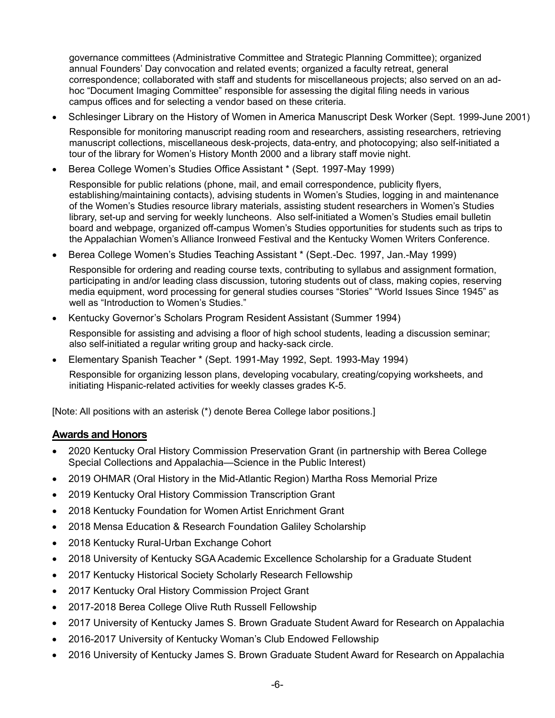governance committees (Administrative Committee and Strategic Planning Committee); organized annual Founders' Day convocation and related events; organized a faculty retreat, general correspondence; collaborated with staff and students for miscellaneous projects; also served on an adhoc "Document Imaging Committee" responsible for assessing the digital filing needs in various campus offices and for selecting a vendor based on these criteria.

• Schlesinger Library on the History of Women in America Manuscript Desk Worker (Sept. 1999-June 2001)

Responsible for monitoring manuscript reading room and researchers, assisting researchers, retrieving manuscript collections, miscellaneous desk-projects, data-entry, and photocopying; also self-initiated a tour of the library for Women's History Month 2000 and a library staff movie night.

• Berea College Women's Studies Office Assistant \* (Sept. 1997-May 1999)

Responsible for public relations (phone, mail, and email correspondence, publicity flyers, establishing/maintaining contacts), advising students in Women's Studies, logging in and maintenance of the Women's Studies resource library materials, assisting student researchers in Women's Studies library, set-up and serving for weekly luncheons. Also self-initiated a Women's Studies email bulletin board and webpage, organized off-campus Women's Studies opportunities for students such as trips to the Appalachian Women's Alliance Ironweed Festival and the Kentucky Women Writers Conference.

• Berea College Women's Studies Teaching Assistant \* (Sept.-Dec. 1997, Jan.-May 1999)

Responsible for ordering and reading course texts, contributing to syllabus and assignment formation, participating in and/or leading class discussion, tutoring students out of class, making copies, reserving media equipment, word processing for general studies courses "Stories" "World Issues Since 1945" as well as "Introduction to Women's Studies."

• Kentucky Governor's Scholars Program Resident Assistant (Summer 1994)

Responsible for assisting and advising a floor of high school students, leading a discussion seminar; also self-initiated a regular writing group and hacky-sack circle.

• Elementary Spanish Teacher \* (Sept. 1991-May 1992, Sept. 1993-May 1994)

Responsible for organizing lesson plans, developing vocabulary, creating/copying worksheets, and initiating Hispanic-related activities for weekly classes grades K-5.

[Note: All positions with an asterisk (\*) denote Berea College labor positions.]

### **Awards and Honors**

- 2020 Kentucky Oral History Commission Preservation Grant (in partnership with Berea College Special Collections and Appalachia—Science in the Public Interest)
- 2019 OHMAR (Oral History in the Mid-Atlantic Region) Martha Ross Memorial Prize
- 2019 Kentucky Oral History Commission Transcription Grant
- 2018 Kentucky Foundation for Women Artist Enrichment Grant
- 2018 Mensa Education & Research Foundation Galiley Scholarship
- 2018 Kentucky Rural-Urban Exchange Cohort
- 2018 University of Kentucky SGA Academic Excellence Scholarship for a Graduate Student
- 2017 Kentucky Historical Society Scholarly Research Fellowship
- 2017 Kentucky Oral History Commission Project Grant
- 2017-2018 Berea College Olive Ruth Russell Fellowship
- 2017 University of Kentucky James S. Brown Graduate Student Award for Research on Appalachia
- 2016-2017 University of Kentucky Woman's Club Endowed Fellowship
- 2016 University of Kentucky James S. Brown Graduate Student Award for Research on Appalachia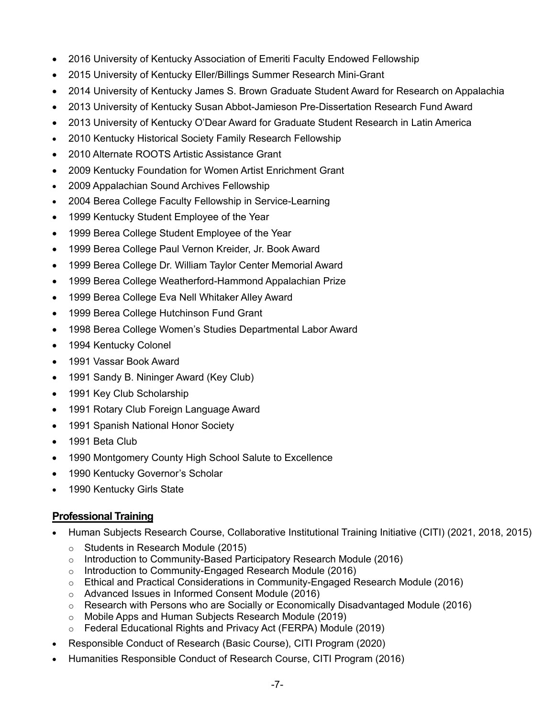- 2016 University of Kentucky Association of Emeriti Faculty Endowed Fellowship
- 2015 University of Kentucky Eller/Billings Summer Research Mini-Grant
- 2014 University of Kentucky James S. Brown Graduate Student Award for Research on Appalachia
- 2013 University of Kentucky Susan Abbot-Jamieson Pre-Dissertation Research Fund Award
- 2013 University of Kentucky O'Dear Award for Graduate Student Research in Latin America
- 2010 Kentucky Historical Society Family Research Fellowship
- 2010 Alternate ROOTS Artistic Assistance Grant
- 2009 Kentucky Foundation for Women Artist Enrichment Grant
- 2009 Appalachian Sound Archives Fellowship
- 2004 Berea College Faculty Fellowship in Service-Learning
- 1999 Kentucky Student Employee of the Year
- 1999 Berea College Student Employee of the Year
- 1999 Berea College Paul Vernon Kreider, Jr. Book Award
- 1999 Berea College Dr. William Taylor Center Memorial Award
- 1999 Berea College Weatherford-Hammond Appalachian Prize
- 1999 Berea College Eva Nell Whitaker Alley Award
- 1999 Berea College Hutchinson Fund Grant
- 1998 Berea College Women's Studies Departmental Labor Award
- 1994 Kentucky Colonel
- 1991 Vassar Book Award
- 1991 Sandy B. Nininger Award (Key Club)
- 1991 Key Club Scholarship
- 1991 Rotary Club Foreign Language Award
- 1991 Spanish National Honor Society
- 1991 Beta Club
- 1990 Montgomery County High School Salute to Excellence
- 1990 Kentucky Governor's Scholar
- 1990 Kentucky Girls State

# **Professional Training**

- Human Subjects Research Course, Collaborative Institutional Training Initiative (CITI) (2021, 2018, 2015)
	- o Students in Research Module (2015)
	- o Introduction to Community-Based Participatory Research Module (2016)
	- o Introduction to Community-Engaged Research Module (2016)
	- o Ethical and Practical Considerations in Community-Engaged Research Module (2016)
	- o Advanced Issues in Informed Consent Module (2016)
	- o Research with Persons who are Socially or Economically Disadvantaged Module (2016)
	- o Mobile Apps and Human Subjects Research Module (2019)
	- o Federal Educational Rights and Privacy Act (FERPA) Module (2019)
- Responsible Conduct of Research (Basic Course), CITI Program (2020)
- Humanities Responsible Conduct of Research Course, CITI Program (2016)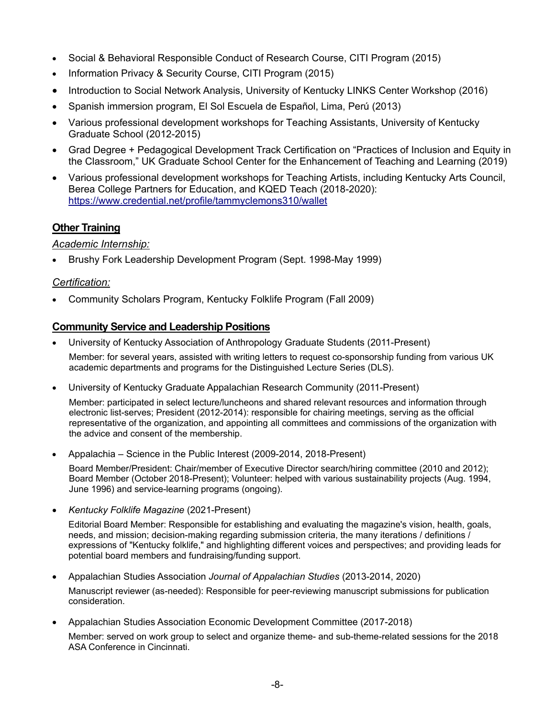- Social & Behavioral Responsible Conduct of Research Course, CITI Program (2015)
- Information Privacy & Security Course, CITI Program (2015)
- Introduction to Social Network Analysis, University of Kentucky LINKS Center Workshop (2016)
- Spanish immersion program, El Sol Escuela de Español, Lima, Perú (2013)
- Various professional development workshops for Teaching Assistants, University of Kentucky Graduate School (2012-2015)
- Grad Degree + Pedagogical Development Track Certification on "Practices of Inclusion and Equity in the Classroom," UK Graduate School Center for the Enhancement of Teaching and Learning (2019)
- Various professional development workshops for Teaching Artists, including Kentucky Arts Council, Berea College Partners for Education, and KQED Teach (2018-2020): <https://www.credential.net/profile/tammyclemons310/wallet>

# **Other Training**

### *Academic Internship:*

• Brushy Fork Leadership Development Program (Sept. 1998-May 1999)

### *Certification:*

• Community Scholars Program, Kentucky Folklife Program (Fall 2009)

### **Community Service and Leadership Positions**

- University of Kentucky Association of Anthropology Graduate Students (2011-Present) Member: for several years, assisted with writing letters to request co-sponsorship funding from various UK
- University of Kentucky Graduate Appalachian Research Community (2011-Present)

academic departments and programs for the Distinguished Lecture Series (DLS).

Member: participated in select lecture/luncheons and shared relevant resources and information through electronic list-serves; President (2012-2014): responsible for chairing meetings, serving as the official representative of the organization, and appointing all committees and commissions of the organization with the advice and consent of the membership.

• Appalachia – Science in the Public Interest (2009-2014, 2018-Present)

Board Member/President: Chair/member of Executive Director search/hiring committee (2010 and 2012); Board Member (October 2018-Present); Volunteer: helped with various sustainability projects (Aug. 1994, June 1996) and service-learning programs (ongoing).

• *Kentucky Folklife Magazine* (2021-Present)

Editorial Board Member: Responsible for establishing and evaluating the magazine's vision, health, goals, needs, and mission; decision-making regarding submission criteria, the many iterations / definitions / expressions of "Kentucky folklife," and highlighting different voices and perspectives; and providing leads for potential board members and fundraising/funding support.

• Appalachian Studies Association *Journal of Appalachian Studies* (2013-2014, 2020)

Manuscript reviewer (as-needed): Responsible for peer-reviewing manuscript submissions for publication consideration.

• Appalachian Studies Association Economic Development Committee (2017-2018)

Member: served on work group to select and organize theme- and sub-theme-related sessions for the 2018 ASA Conference in Cincinnati.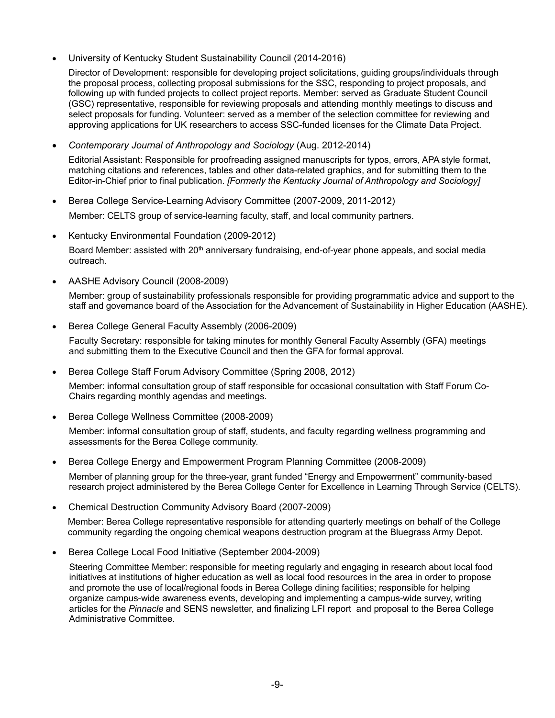• University of Kentucky Student Sustainability Council (2014-2016)

Director of Development: responsible for developing project solicitations, guiding groups/individuals through the proposal process, collecting proposal submissions for the SSC, responding to project proposals, and following up with funded projects to collect project reports. Member: served as Graduate Student Council (GSC) representative, responsible for reviewing proposals and attending monthly meetings to discuss and select proposals for funding. Volunteer: served as a member of the selection committee for reviewing and approving applications for UK researchers to access SSC-funded licenses for the Climate Data Project.

• *Contemporary Journal of Anthropology and Sociology* (Aug. 2012-2014)

Editorial Assistant: Responsible for proofreading assigned manuscripts for typos, errors, APA style format, matching citations and references, tables and other data-related graphics, and for submitting them to the Editor-in-Chief prior to final publication. *[Formerly the Kentucky Journal of Anthropology and Sociology]*

- Berea College Service-Learning Advisory Committee (2007-2009, 2011-2012) Member: CELTS group of service-learning faculty, staff, and local community partners.
- Kentucky Environmental Foundation (2009-2012)

Board Member: assisted with 20<sup>th</sup> anniversary fundraising, end-of-year phone appeals, and social media outreach.

• AASHE Advisory Council (2008-2009)

Member: group of sustainability professionals responsible for providing programmatic advice and support to the staff and governance board of the Association for the Advancement of Sustainability in Higher Education (AASHE).

• Berea College General Faculty Assembly (2006-2009)

Faculty Secretary: responsible for taking minutes for monthly General Faculty Assembly (GFA) meetings and submitting them to the Executive Council and then the GFA for formal approval.

- Berea College Staff Forum Advisory Committee (Spring 2008, 2012) Member: informal consultation group of staff responsible for occasional consultation with Staff Forum Co-
- Berea College Wellness Committee (2008-2009)

Chairs regarding monthly agendas and meetings.

Member: informal consultation group of staff, students, and faculty regarding wellness programming and assessments for the Berea College community.

• Berea College Energy and Empowerment Program Planning Committee (2008-2009)

Member of planning group for the three-year, grant funded "Energy and Empowerment" community-based research project administered by the Berea College Center for Excellence in Learning Through Service (CELTS).

• Chemical Destruction Community Advisory Board (2007-2009)

Member: Berea College representative responsible for attending quarterly meetings on behalf of the College community regarding the ongoing chemical weapons destruction program at the Bluegrass Army Depot.

• Berea College Local Food Initiative (September 2004-2009)

Steering Committee Member: responsible for meeting regularly and engaging in research about local food initiatives at institutions of higher education as well as local food resources in the area in order to propose and promote the use of local/regional foods in Berea College dining facilities; responsible for helping organize campus-wide awareness events, developing and implementing a campus-wide survey, writing articles for the *Pinnacle* and SENS newsletter, and finalizing LFI report and proposal to the Berea College Administrative Committee.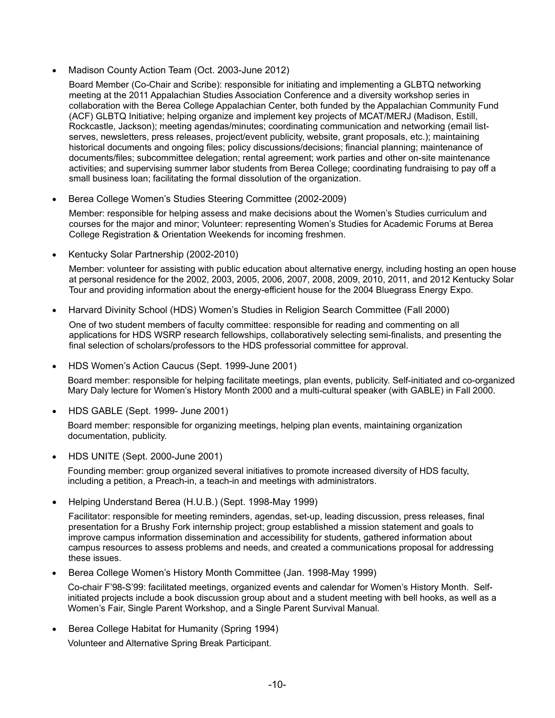• Madison County Action Team (Oct. 2003-June 2012)

Board Member (Co-Chair and Scribe): responsible for initiating and implementing a GLBTQ networking meeting at the 2011 Appalachian Studies Association Conference and a diversity workshop series in collaboration with the Berea College Appalachian Center, both funded by the Appalachian Community Fund (ACF) GLBTQ Initiative; helping organize and implement key projects of MCAT/MERJ (Madison, Estill, Rockcastle, Jackson); meeting agendas/minutes; coordinating communication and networking (email listserves, newsletters, press releases, project/event publicity, website, grant proposals, etc.); maintaining historical documents and ongoing files; policy discussions/decisions; financial planning; maintenance of documents/files; subcommittee delegation; rental agreement; work parties and other on-site maintenance activities; and supervising summer labor students from Berea College; coordinating fundraising to pay off a small business loan; facilitating the formal dissolution of the organization.

• Berea College Women's Studies Steering Committee (2002-2009)

Member: responsible for helping assess and make decisions about the Women's Studies curriculum and courses for the major and minor; Volunteer: representing Women's Studies for Academic Forums at Berea College Registration & Orientation Weekends for incoming freshmen.

• Kentucky Solar Partnership (2002-2010)

Member: volunteer for assisting with public education about alternative energy, including hosting an open house at personal residence for the 2002, 2003, 2005, 2006, 2007, 2008, 2009, 2010, 2011, and 2012 Kentucky Solar Tour and providing information about the energy-efficient house for the 2004 Bluegrass Energy Expo.

• Harvard Divinity School (HDS) Women's Studies in Religion Search Committee (Fall 2000)

One of two student members of faculty committee: responsible for reading and commenting on all applications for HDS WSRP research fellowships, collaboratively selecting semi-finalists, and presenting the final selection of scholars/professors to the HDS professorial committee for approval.

• HDS Women's Action Caucus (Sept. 1999-June 2001)

Board member: responsible for helping facilitate meetings, plan events, publicity. Self-initiated and co-organized Mary Daly lecture for Women's History Month 2000 and a multi-cultural speaker (with GABLE) in Fall 2000.

• HDS GABLE (Sept. 1999- June 2001)

Board member: responsible for organizing meetings, helping plan events, maintaining organization documentation, publicity.

• HDS UNITE (Sept. 2000-June 2001)

Founding member: group organized several initiatives to promote increased diversity of HDS faculty, including a petition, a Preach-in, a teach-in and meetings with administrators.

• Helping Understand Berea (H.U.B.) (Sept. 1998-May 1999)

Facilitator: responsible for meeting reminders, agendas, set-up, leading discussion, press releases, final presentation for a Brushy Fork internship project; group established a mission statement and goals to improve campus information dissemination and accessibility for students, gathered information about campus resources to assess problems and needs, and created a communications proposal for addressing these issues.

• Berea College Women's History Month Committee (Jan. 1998-May 1999)

Co-chair F'98-S'99: facilitated meetings, organized events and calendar for Women's History Month. Selfinitiated projects include a book discussion group about and a student meeting with bell hooks, as well as a Women's Fair, Single Parent Workshop, and a Single Parent Survival Manual.

• Berea College Habitat for Humanity (Spring 1994)

Volunteer and Alternative Spring Break Participant.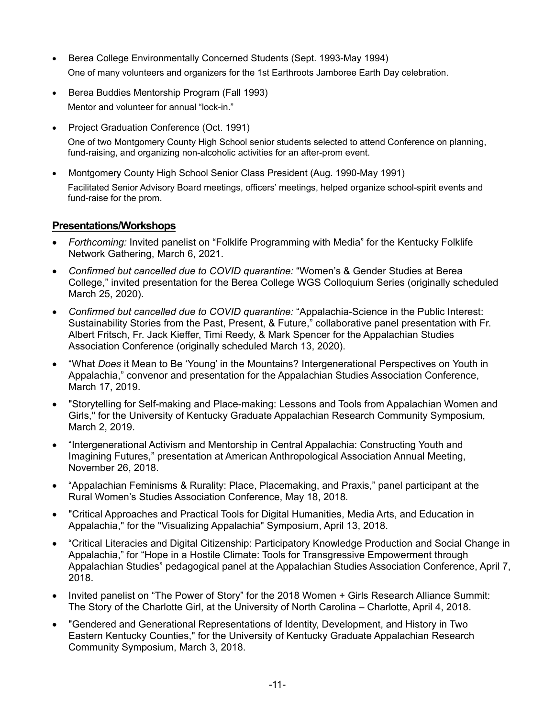- Berea College Environmentally Concerned Students (Sept. 1993-May 1994) One of many volunteers and organizers for the 1st Earthroots Jamboree Earth Day celebration.
- Berea Buddies Mentorship Program (Fall 1993) Mentor and volunteer for annual "lock-in."
- Project Graduation Conference (Oct. 1991) One of two Montgomery County High School senior students selected to attend Conference on planning, fund-raising, and organizing non-alcoholic activities for an after-prom event.
- Montgomery County High School Senior Class President (Aug. 1990-May 1991) Facilitated Senior Advisory Board meetings, officers' meetings, helped organize school-spirit events and fund-raise for the prom.

### **Presentations/Workshops**

- *Forthcoming:* Invited panelist on "Folklife Programming with Media" for the Kentucky Folklife Network Gathering, March 6, 2021.
- *Confirmed but cancelled due to COVID quarantine:* "Women's & Gender Studies at Berea College," invited presentation for the Berea College WGS Colloquium Series (originally scheduled March 25, 2020).
- *Confirmed but cancelled due to COVID quarantine:* "Appalachia-Science in the Public Interest: Sustainability Stories from the Past, Present, & Future," collaborative panel presentation with Fr. Albert Fritsch, Fr. Jack Kieffer, Timi Reedy, & Mark Spencer for the Appalachian Studies Association Conference (originally scheduled March 13, 2020).
- "What *Does* it Mean to Be 'Young' in the Mountains? Intergenerational Perspectives on Youth in Appalachia," convenor and presentation for the Appalachian Studies Association Conference, March 17, 2019.
- "Storytelling for Self-making and Place-making: Lessons and Tools from Appalachian Women and Girls," for the University of Kentucky Graduate Appalachian Research Community Symposium, March 2, 2019.
- "Intergenerational Activism and Mentorship in Central Appalachia: Constructing Youth and Imagining Futures," presentation at American Anthropological Association Annual Meeting, November 26, 2018.
- "Appalachian Feminisms & Rurality: Place, Placemaking, and Praxis," panel participant at the Rural Women's Studies Association Conference, May 18, 2018*.*
- "Critical Approaches and Practical Tools for Digital Humanities, Media Arts, and Education in Appalachia," for the "Visualizing Appalachia" Symposium, April 13, 2018.
- "Critical Literacies and Digital Citizenship: Participatory Knowledge Production and Social Change in Appalachia," for "Hope in a Hostile Climate: Tools for Transgressive Empowerment through Appalachian Studies" pedagogical panel at the Appalachian Studies Association Conference, April 7, 2018.
- Invited panelist on "The Power of Story" for the 2018 Women + Girls Research Alliance Summit: The Story of the Charlotte Girl, at the University of North Carolina – Charlotte, April 4, 2018.
- "Gendered and Generational Representations of Identity, Development, and History in Two Eastern Kentucky Counties," for the University of Kentucky Graduate Appalachian Research Community Symposium, March 3, 2018.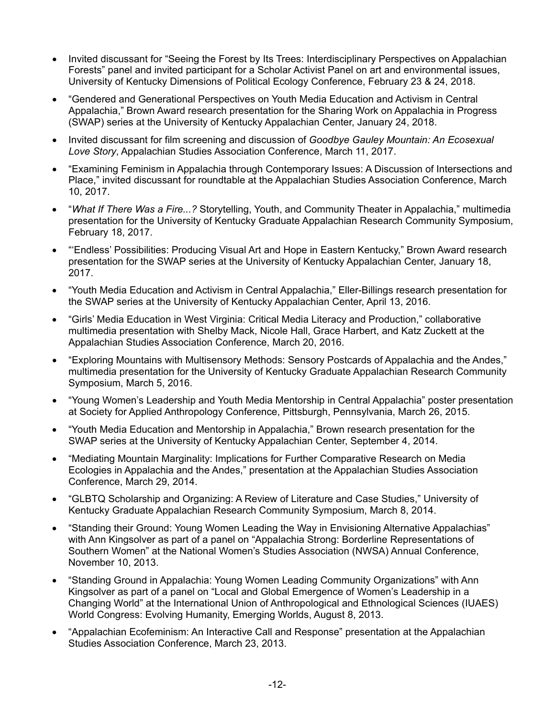- Invited discussant for "Seeing the Forest by Its Trees: Interdisciplinary Perspectives on Appalachian Forests" panel and invited participant for a Scholar Activist Panel on art and environmental issues, University of Kentucky Dimensions of Political Ecology Conference, February 23 & 24, 2018.
- "Gendered and Generational Perspectives on Youth Media Education and Activism in Central Appalachia," Brown Award research presentation for the Sharing Work on Appalachia in Progress (SWAP) series at the University of Kentucky Appalachian Center, January 24, 2018.
- Invited discussant for film screening and discussion of *Goodbye Gauley Mountain: An Ecosexual Love Story*, Appalachian Studies Association Conference, March 11, 2017.
- "Examining Feminism in Appalachia through Contemporary Issues: A Discussion of Intersections and Place," invited discussant for roundtable at the Appalachian Studies Association Conference, March 10, 2017.
- "*What If There Was a Fire...?* Storytelling, Youth, and Community Theater in Appalachia," multimedia presentation for the University of Kentucky Graduate Appalachian Research Community Symposium, February 18, 2017.
- "'Endless' Possibilities: Producing Visual Art and Hope in Eastern Kentucky," Brown Award research presentation for the SWAP series at the University of Kentucky Appalachian Center, January 18, 2017.
- "Youth Media Education and Activism in Central Appalachia," Eller-Billings research presentation for the SWAP series at the University of Kentucky Appalachian Center, April 13, 2016.
- "Girls' Media Education in West Virginia: Critical Media Literacy and Production," collaborative multimedia presentation with Shelby Mack, Nicole Hall, Grace Harbert, and Katz Zuckett at the Appalachian Studies Association Conference, March 20, 2016.
- "Exploring Mountains with Multisensory Methods: Sensory Postcards of Appalachia and the Andes," multimedia presentation for the University of Kentucky Graduate Appalachian Research Community Symposium, March 5, 2016.
- "Young Women's Leadership and Youth Media Mentorship in Central Appalachia" poster presentation at Society for Applied Anthropology Conference, Pittsburgh, Pennsylvania, March 26, 2015.
- "Youth Media Education and Mentorship in Appalachia," Brown research presentation for the SWAP series at the University of Kentucky Appalachian Center, September 4, 2014.
- "Mediating Mountain Marginality: Implications for Further Comparative Research on Media Ecologies in Appalachia and the Andes," presentation at the Appalachian Studies Association Conference, March 29, 2014.
- "GLBTQ Scholarship and Organizing: A Review of Literature and Case Studies," University of Kentucky Graduate Appalachian Research Community Symposium, March 8, 2014.
- "Standing their Ground: Young Women Leading the Way in Envisioning Alternative Appalachias" with Ann Kingsolver as part of a panel on "Appalachia Strong: Borderline Representations of Southern Women" at the National Women's Studies Association (NWSA) Annual Conference, November 10, 2013.
- "Standing Ground in Appalachia: Young Women Leading Community Organizations" with Ann Kingsolver as part of a panel on "Local and Global Emergence of Women's Leadership in a Changing World" at the International Union of Anthropological and Ethnological Sciences (IUAES) World Congress: Evolving Humanity, Emerging Worlds, August 8, 2013.
- "Appalachian Ecofeminism: An Interactive Call and Response" presentation at the Appalachian Studies Association Conference, March 23, 2013.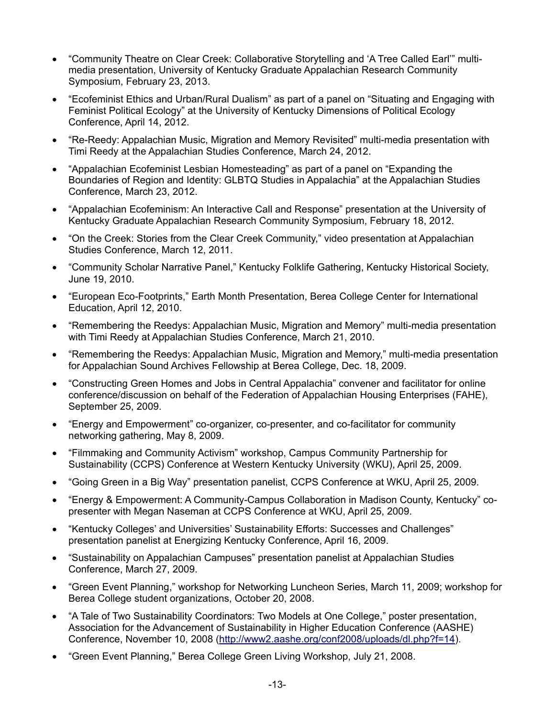- "Community Theatre on Clear Creek: Collaborative Storytelling and 'A Tree Called Earl'" multimedia presentation, University of Kentucky Graduate Appalachian Research Community Symposium, February 23, 2013.
- "Ecofeminist Ethics and Urban/Rural Dualism" as part of a panel on "Situating and Engaging with Feminist Political Ecology" at the University of Kentucky Dimensions of Political Ecology Conference, April 14, 2012.
- "Re-Reedy: Appalachian Music, Migration and Memory Revisited" multi-media presentation with Timi Reedy at the Appalachian Studies Conference, March 24, 2012.
- "Appalachian Ecofeminist Lesbian Homesteading" as part of a panel on "Expanding the Boundaries of Region and Identity: GLBTQ Studies in Appalachia" at the Appalachian Studies Conference, March 23, 2012.
- "Appalachian Ecofeminism: An Interactive Call and Response" presentation at the University of Kentucky Graduate Appalachian Research Community Symposium, February 18, 2012.
- "On the Creek: Stories from the Clear Creek Community," video presentation at Appalachian Studies Conference, March 12, 2011.
- "Community Scholar Narrative Panel," Kentucky Folklife Gathering, Kentucky Historical Society, June 19, 2010.
- "European Eco-Footprints," Earth Month Presentation, Berea College Center for International Education, April 12, 2010.
- "Remembering the Reedys: Appalachian Music, Migration and Memory" multi-media presentation with Timi Reedy at Appalachian Studies Conference, March 21, 2010.
- "Remembering the Reedys: Appalachian Music, Migration and Memory," multi-media presentation for Appalachian Sound Archives Fellowship at Berea College, Dec. 18, 2009.
- "Constructing Green Homes and Jobs in Central Appalachia" convener and facilitator for online conference/discussion on behalf of the Federation of Appalachian Housing Enterprises (FAHE), September 25, 2009.
- "Energy and Empowerment" co-organizer, co-presenter, and co-facilitator for community networking gathering, May 8, 2009.
- "Filmmaking and Community Activism" workshop, Campus Community Partnership for Sustainability (CCPS) Conference at Western Kentucky University (WKU), April 25, 2009.
- "Going Green in a Big Way" presentation panelist, CCPS Conference at WKU, April 25, 2009.
- "Energy & Empowerment: A Community-Campus Collaboration in Madison County, Kentucky" copresenter with Megan Naseman at CCPS Conference at WKU, April 25, 2009.
- "Kentucky Colleges' and Universities' Sustainability Efforts: Successes and Challenges" presentation panelist at Energizing Kentucky Conference, April 16, 2009.
- "Sustainability on Appalachian Campuses" presentation panelist at Appalachian Studies Conference, March 27, 2009.
- "Green Event Planning," workshop for Networking Luncheon Series, March 11, 2009; workshop for Berea College student organizations, October 20, 2008.
- "A Tale of Two Sustainability Coordinators: Two Models at One College," poster presentation, Association for the Advancement of Sustainability in Higher Education Conference (AASHE) Conference, November 10, 2008 [\(http://www2.aashe.org/conf2008/uploads/dl.php?f=14\)](http://www2.aashe.org/conf2008/uploads/dl.php?f=14).
- "Green Event Planning," Berea College Green Living Workshop, July 21, 2008.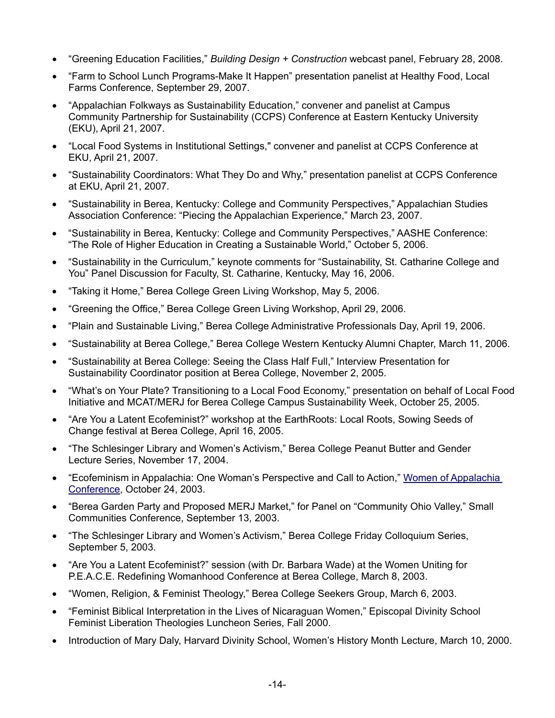- "Greening Education Facilities," *Building Design + Construction* webcast panel, February 28, 2008.
- "Farm to School Lunch Programs-Make It Happen" presentation panelist at Healthy Food, Local Farms Conference, September 29, 2007.
- "Appalachian Folkways as Sustainability Education," convener and panelist at Campus Community Partnership for Sustainability (CCPS) Conference at Eastern Kentucky University (EKU), April 21, 2007.
- "Local Food Systems in Institutional Settings," convener and panelist at CCPS Conference at EKU, April 21, 2007.
- "Sustainability Coordinators: What They Do and Why," presentation panelist at CCPS Conference at EKU, April 21, 2007.
- "Sustainability in Berea, Kentucky: College and Community Perspectives," Appalachian Studies Association Conference: "Piecing the Appalachian Experience," March 23, 2007.
- "Sustainability in Berea, Kentucky: College and Community Perspectives," AASHE Conference: "The Role of Higher Education in Creating a Sustainable World," October 5, 2006.
- "Sustainability in the Curriculum," keynote comments for "Sustainability, St. Catharine College and You" Panel Discussion for Faculty, St. Catharine, Kentucky, May 16, 2006.
- "Taking it Home," Berea College Green Living Workshop, May 5, 2006.
- "Greening the Office," Berea College Green Living Workshop, April 29, 2006.
- "Plain and Sustainable Living," Berea College Administrative Professionals Day, April 19, 2006.
- "Sustainability at Berea College," Berea College Western Kentucky Alumni Chapter, March 11, 2006.
- "Sustainability at Berea College: Seeing the Class Half Full," Interview Presentation for Sustainability Coordinator position at Berea College, November 2, 2005.
- "What's on Your Plate? Transitioning to a Local Food Economy," presentation on behalf of Local Food Initiative and MCAT/MERJ for Berea College Campus Sustainability Week, October 25, 2005.
- "Are You a Latent Ecofeminist?" workshop at the EarthRoots: Local Roots, Sowing Seeds of Change festival at Berea College, April 16, 2005.
- "The Schlesinger Library and Women's Activism," Berea College Peanut Butter and Gender Lecture Series, November 17, 2004.
- "Ecofeminism in Appalachia: One Woman's Perspective and Call to Action," [Women of Appalachia](http://www.zanesville.ohiou.edu/ce/wac/table%20of%20contents%202003.htm)  [Conference,](http://www.zanesville.ohiou.edu/ce/wac/table%20of%20contents%202003.htm) October 24, 2003.
- "Berea Garden Party and Proposed MERJ Market," for Panel on "Community Ohio Valley," Small Communities Conference, September 13, 2003.
- "The Schlesinger Library and Women's Activism," Berea College Friday Colloquium Series, September 5, 2003.
- "Are You a Latent Ecofeminist?" session (with Dr. Barbara Wade) at the Women Uniting for P.E.A.C.E. Redefining Womanhood Conference at Berea College, March 8, 2003.
- "Women, Religion, & Feminist Theology," Berea College Seekers Group, March 6, 2003.
- "Feminist Biblical Interpretation in the Lives of Nicaraguan Women," Episcopal Divinity School Feminist Liberation Theologies Luncheon Series, Fall 2000.
- Introduction of Mary Daly, Harvard Divinity School, Women's History Month Lecture, March 10, 2000.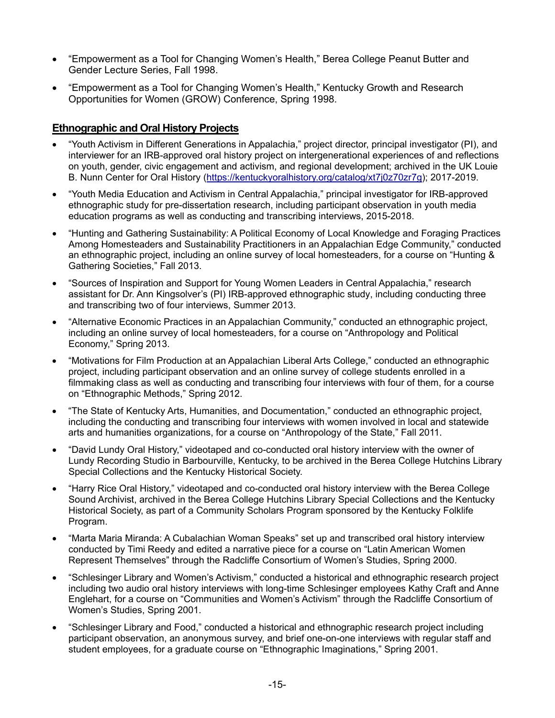- "Empowerment as a Tool for Changing Women's Health," Berea College Peanut Butter and Gender Lecture Series, Fall 1998.
- "Empowerment as a Tool for Changing Women's Health," Kentucky Growth and Research Opportunities for Women (GROW) Conference, Spring 1998.

### **Ethnographic and Oral History Projects**

- "Youth Activism in Different Generations in Appalachia," project director, principal investigator (PI), and interviewer for an IRB-approved oral history project on intergenerational experiences of and reflections on youth, gender, civic engagement and activism, and regional development; archived in the UK Louie B. Nunn Center for Oral History [\(https://kentuckyoralhistory.org/catalog/xt7j0z70zr7g\)](https://kentuckyoralhistory.org/catalog/xt7j0z70zr7g); 2017-2019.
- "Youth Media Education and Activism in Central Appalachia," principal investigator for IRB-approved ethnographic study for pre-dissertation research, including participant observation in youth media education programs as well as conducting and transcribing interviews, 2015-2018.
- "Hunting and Gathering Sustainability: A Political Economy of Local Knowledge and Foraging Practices Among Homesteaders and Sustainability Practitioners in an Appalachian Edge Community," conducted an ethnographic project, including an online survey of local homesteaders, for a course on "Hunting & Gathering Societies," Fall 2013.
- "Sources of Inspiration and Support for Young Women Leaders in Central Appalachia," research assistant for Dr. Ann Kingsolver's (PI) IRB-approved ethnographic study, including conducting three and transcribing two of four interviews, Summer 2013.
- "Alternative Economic Practices in an Appalachian Community," conducted an ethnographic project, including an online survey of local homesteaders, for a course on "Anthropology and Political Economy," Spring 2013.
- "Motivations for Film Production at an Appalachian Liberal Arts College," conducted an ethnographic project, including participant observation and an online survey of college students enrolled in a filmmaking class as well as conducting and transcribing four interviews with four of them, for a course on "Ethnographic Methods," Spring 2012.
- "The State of Kentucky Arts, Humanities, and Documentation," conducted an ethnographic project, including the conducting and transcribing four interviews with women involved in local and statewide arts and humanities organizations, for a course on "Anthropology of the State," Fall 2011.
- "David Lundy Oral History," videotaped and co-conducted oral history interview with the owner of Lundy Recording Studio in Barbourville, Kentucky, to be archived in the Berea College Hutchins Library Special Collections and the Kentucky Historical Society.
- "Harry Rice Oral History," videotaped and co-conducted oral history interview with the Berea College Sound Archivist, archived in the Berea College Hutchins Library Special Collections and the Kentucky Historical Society, as part of a Community Scholars Program sponsored by the Kentucky Folklife Program.
- "Marta Maria Miranda: A Cubalachian Woman Speaks" set up and transcribed oral history interview conducted by Timi Reedy and edited a narrative piece for a course on "Latin American Women Represent Themselves" through the Radcliffe Consortium of Women's Studies, Spring 2000.
- "Schlesinger Library and Women's Activism," conducted a historical and ethnographic research project including two audio oral history interviews with long-time Schlesinger employees Kathy Craft and Anne Englehart, for a course on "Communities and Women's Activism" through the Radcliffe Consortium of Women's Studies, Spring 2001.
- "Schlesinger Library and Food," conducted a historical and ethnographic research project including participant observation, an anonymous survey, and brief one-on-one interviews with regular staff and student employees, for a graduate course on "Ethnographic Imaginations," Spring 2001.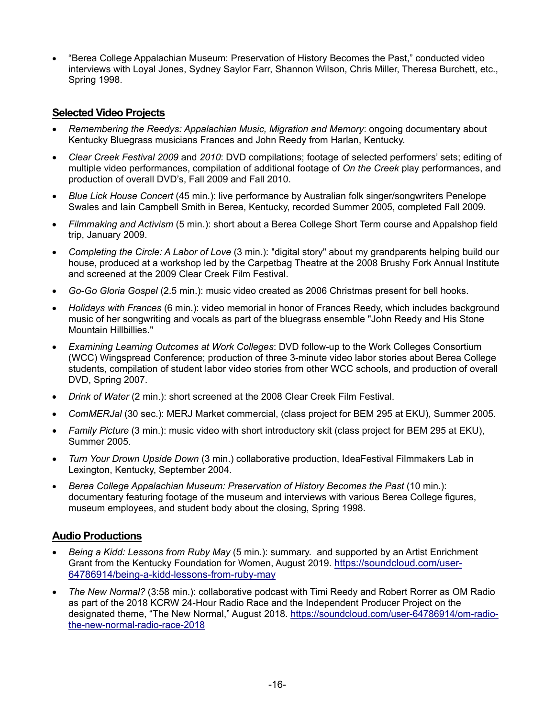• "Berea College Appalachian Museum: Preservation of History Becomes the Past," conducted video interviews with Loyal Jones, Sydney Saylor Farr, Shannon Wilson, Chris Miller, Theresa Burchett, etc., Spring 1998.

### **Selected Video Projects**

- *Remembering the Reedys: Appalachian Music, Migration and Memory*: ongoing documentary about Kentucky Bluegrass musicians Frances and John Reedy from Harlan, Kentucky.
- *Clear Creek Festival 2009* and *2010*: DVD compilations; footage of selected performers' sets; editing of multiple video performances, compilation of additional footage of *On the Creek* play performances, and production of overall DVD's, Fall 2009 and Fall 2010.
- *Blue Lick House Concert* (45 min.): live performance by Australian folk singer/songwriters Penelope Swales and Iain Campbell Smith in Berea, Kentucky, recorded Summer 2005, completed Fall 2009.
- *Filmmaking and Activism* (5 min.): short about a Berea College Short Term course and Appalshop field trip, January 2009.
- *Completing the Circle: A Labor of Love* (3 min.): "digital story" about my grandparents helping build our house, produced at a workshop led by the Carpetbag Theatre at the 2008 Brushy Fork Annual Institute and screened at the 2009 Clear Creek Film Festival.
- *Go-Go Gloria Gospel* (2.5 min.): music video created as 2006 Christmas present for bell hooks.
- *Holidays with Frances* (6 min.): video memorial in honor of Frances Reedy, which includes background music of her songwriting and vocals as part of the bluegrass ensemble "John Reedy and His Stone Mountain Hillbillies."
- *Examining Learning Outcomes at Work Colleges*: DVD follow-up to the Work Colleges Consortium (WCC) Wingspread Conference; production of three 3-minute video labor stories about Berea College students, compilation of student labor video stories from other WCC schools, and production of overall DVD, Spring 2007.
- *Drink of Water* (2 min.): short screened at the 2008 Clear Creek Film Festival.
- *ComMERJal* (30 sec.): MERJ Market commercial, (class project for BEM 295 at EKU), Summer 2005.
- *Family Picture* (3 min.): music video with short introductory skit (class project for BEM 295 at EKU), Summer 2005.
- *Turn Your Drown Upside Down* (3 min.) collaborative production, IdeaFestival Filmmakers Lab in Lexington, Kentucky, September 2004.
- *Berea College Appalachian Museum: Preservation of History Becomes the Past* (10 min.): documentary featuring footage of the museum and interviews with various Berea College figures, museum employees, and student body about the closing, Spring 1998.

### **Audio Productions**

- *Being a Kidd: Lessons from Ruby May* (5 min.): summary. and supported by an Artist Enrichment Grant from the Kentucky Foundation for Women, August 2019. [https://soundcloud.com/user-](https://soundcloud.com/user-64786914/being-a-kidd-lessons-from-ruby-may)[64786914/being-a-kidd-lessons-from-ruby-may](https://soundcloud.com/user-64786914/being-a-kidd-lessons-from-ruby-may)
- *The New Normal?* (3:58 min.): collaborative podcast with Timi Reedy and Robert Rorrer as OM Radio as part of the 2018 KCRW 24-Hour Radio Race and the Independent Producer Project on the designated theme, "The New Normal," August 2018. [https://soundcloud.com/user-64786914/om-radio](https://soundcloud.com/user-64786914/om-radio-the-new-normal-radio-race-2018)[the-new-normal-radio-race-2018](https://soundcloud.com/user-64786914/om-radio-the-new-normal-radio-race-2018)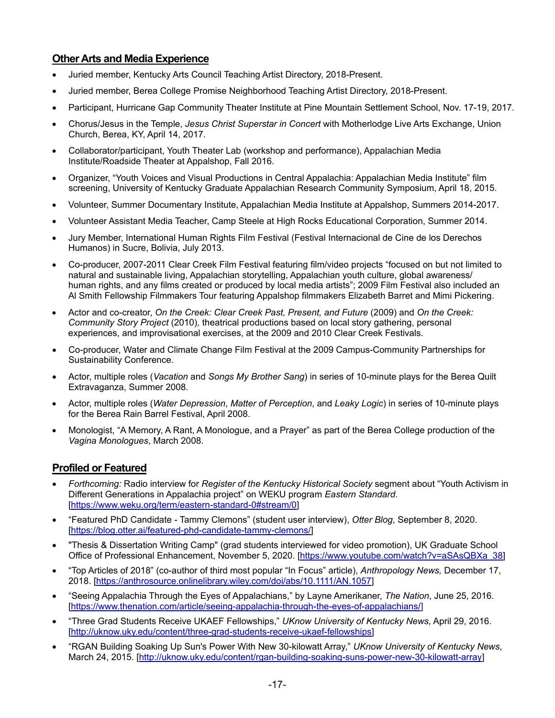# **Other Arts and Media Experience**

- Juried member, Kentucky Arts Council Teaching Artist Directory, 2018-Present.
- Juried member, Berea College Promise Neighborhood Teaching Artist Directory, 2018-Present.
- Participant, Hurricane Gap Community Theater Institute at Pine Mountain Settlement School, Nov. 17-19, 2017.
- Chorus/Jesus in the Temple, *Jesus Christ Superstar in Concert* with Motherlodge Live Arts Exchange, Union Church, Berea, KY, April 14, 2017.
- Collaborator/participant, Youth Theater Lab (workshop and performance), Appalachian Media Institute/Roadside Theater at Appalshop, Fall 2016.
- Organizer, "Youth Voices and Visual Productions in Central Appalachia: Appalachian Media Institute" film screening, University of Kentucky Graduate Appalachian Research Community Symposium, April 18, 2015.
- Volunteer, Summer Documentary Institute, Appalachian Media Institute at Appalshop, Summers 2014-2017.
- Volunteer Assistant Media Teacher, Camp Steele at High Rocks Educational Corporation, Summer 2014.
- Jury Member, International Human Rights Film Festival (Festival Internacional de Cine de los Derechos Humanos) in Sucre, Bolivia, July 2013.
- Co-producer, 2007-2011 Clear Creek Film Festival featuring film/video projects "focused on but not limited to natural and sustainable living, Appalachian storytelling, Appalachian youth culture, global awareness/ human rights, and any films created or produced by local media artists"; 2009 Film Festival also included an Al Smith Fellowship Filmmakers Tour featuring Appalshop filmmakers Elizabeth Barret and Mimi Pickering.
- Actor and co-creator, *On the Creek: Clear Creek Past, Present, and Future* (2009) and *On the Creek: Community Story Project* (2010)*,* theatrical productions based on local story gathering, personal experiences, and improvisational exercises, at the 2009 and 2010 Clear Creek Festivals.
- Co-producer, Water and Climate Change Film Festival at the 2009 Campus-Community Partnerships for Sustainability Conference.
- Actor, multiple roles (*Vacation* and *Songs My Brother Sang*) in series of 10-minute plays for the Berea Quilt Extravaganza, Summer 2008.
- Actor, multiple roles (*Water Depression*, *Matter of Perception*, and *Leaky Logic*) in series of 10-minute plays for the Berea Rain Barrel Festival, April 2008.
- Monologist, "A Memory, A Rant, A Monologue, and a Prayer" as part of the Berea College production of the *Vagina Monologues*, March 2008.

# **Profiled or Featured**

- *Forthcoming:* Radio interview for *Register of the Kentucky Historical Society* segment about "Youth Activism in Different Generations in Appalachia project" on WEKU program *Eastern Standard*. [\[https://www.weku.org/term/eastern-standard-0#stream/0\]](https://www.weku.org/term/eastern-standard-0#stream/0)
- "Featured PhD Candidate Tammy Clemons" (student user interview), *Otter Blog*, September 8, 2020. [\[https://blog.otter.ai/featured-phd-candidate-tammy-clemons/\]](https://blog.otter.ai/featured-phd-candidate-tammy-clemons/)
- "Thesis & Dissertation Writing Camp" (grad students interviewed for video promotion), UK Graduate School Office of Professional Enhancement, November 5, 2020. [\[https://www.youtube.com/watch?v=aSAsQBXa\\_38\]](https://www.youtube.com/watch?v=aSAsQBXa_38)
- "Top Articles of 2018" (co-author of third most popular "In Focus" article), *Anthropology News,* December 17, 2018. [\[https://anthrosource.onlinelibrary.wiley.com/doi/abs/10.1111/AN.1057\]](https://anthrosource.onlinelibrary.wiley.com/doi/abs/10.1111/AN.1057)
- "Seeing Appalachia Through the Eyes of Appalachians," by Layne Amerikaner, *The Nation*, June 25, 2016. [\[https://www.thenation.com/article/seeing-appalachia-through-the-eyes-of-appalachians/\]](https://www.thenation.com/article/seeing-appalachia-through-the-eyes-of-appalachians/)
- "Three Grad Students Receive UKAEF Fellowships," *UKnow University of Kentucky News,* April 29, 2016. [\[http://uknow.uky.edu/content/three-grad-students-receive-ukaef-fellowships\]](http://uknow.uky.edu/content/three-grad-students-receive-ukaef-fellowships)
- "RGAN Building Soaking Up Sun's Power With New 30-kilowatt Array," *UKnow University of Kentucky News*, March 24, 2015. [\[http://uknow.uky.edu/content/rgan-building-soaking-suns-power-new-30-kilowatt-array\]](http://uknow.uky.edu/content/rgan-building-soaking-suns-power-new-30-kilowatt-array)